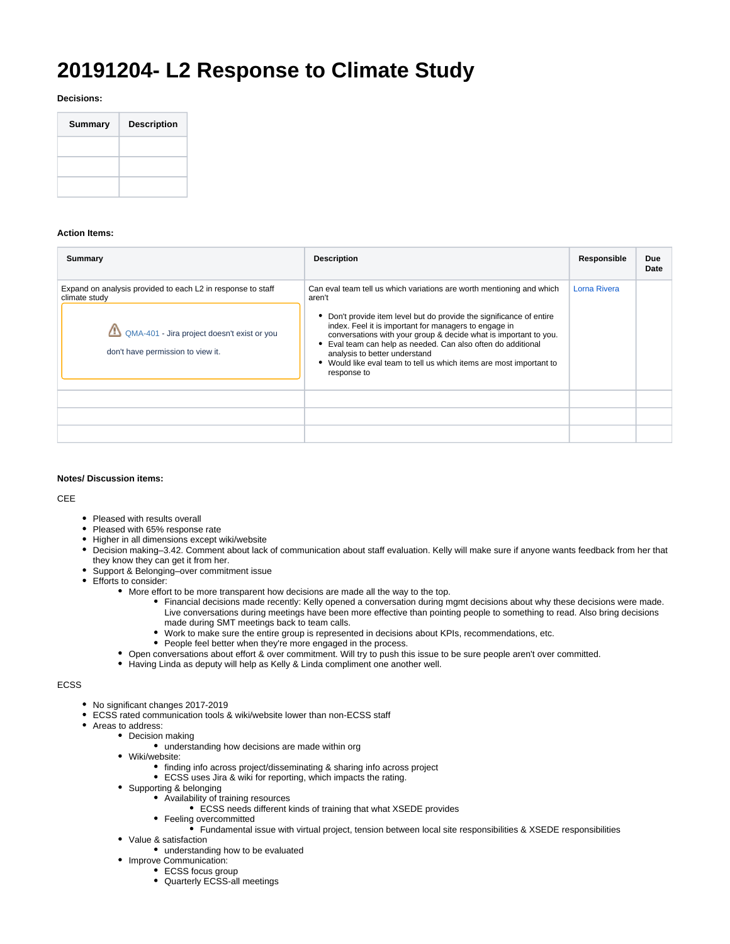# **20191204- L2 Response to Climate Study**

**Decisions:**

| <b>Summary</b> | <b>Description</b> |
|----------------|--------------------|
|                |                    |
|                |                    |
|                |                    |

## **Action Items:**

| Summary                                                                                                                                                          | <b>Description</b>                                                                                                                                                                                                                                                                                                                                                                                                                                                        | Responsible  | Due<br>Date |
|------------------------------------------------------------------------------------------------------------------------------------------------------------------|---------------------------------------------------------------------------------------------------------------------------------------------------------------------------------------------------------------------------------------------------------------------------------------------------------------------------------------------------------------------------------------------------------------------------------------------------------------------------|--------------|-------------|
| Expand on analysis provided to each L2 in response to staff<br>climate study<br>QMA-401 - Jira project doesn't exist or you<br>don't have permission to view it. | Can eval team tell us which variations are worth mentioning and which<br>aren't<br>• Don't provide item level but do provide the significance of entire<br>index. Feel it is important for managers to engage in<br>conversations with your group & decide what is important to you.<br>Eval team can help as needed. Can also often do additional<br>analysis to better understand<br>• Would like eval team to tell us which items are most important to<br>response to | Lorna Rivera |             |
|                                                                                                                                                                  |                                                                                                                                                                                                                                                                                                                                                                                                                                                                           |              |             |
|                                                                                                                                                                  |                                                                                                                                                                                                                                                                                                                                                                                                                                                                           |              |             |
|                                                                                                                                                                  |                                                                                                                                                                                                                                                                                                                                                                                                                                                                           |              |             |

## **Notes/ Discussion items:**

CEE

- Pleased with results overall
- Pleased with 65% response rate
- Higher in all dimensions except wiki/website
- Decision making–3.42. Comment about lack of communication about staff evaluation. Kelly will make sure if anyone wants feedback from her that they know they can get it from her.
- Support & Belonging–over commitment issue
- Efforts to consider:
	- More effort to be more transparent how decisions are made all the way to the top.
		- Financial decisions made recently: Kelly opened a conversation during mgmt decisions about why these decisions were made. Live conversations during meetings have been more effective than pointing people to something to read. Also bring decisions made during SMT meetings back to team calls.
		- Work to make sure the entire group is represented in decisions about KPIs, recommendations, etc.
			- People feel better when they're more engaged in the process.
	- Open conversations about effort & over commitment. Will try to push this issue to be sure people aren't over committed.
	- Having Linda as deputy will help as Kelly & Linda compliment one another well.

### ECSS

- No significant changes 2017-2019
- ECSS rated communication tools & wiki/website lower than non-ECSS staff
- Areas to address:
	- Decision making
		- understanding how decisions are made within org
		- Wiki/website:
			- finding info across project/disseminating & sharing info across project
			- ECSS uses Jira & wiki for reporting, which impacts the rating.
		- Supporting & belonging
			- Availability of training resources
				- ECSS needs different kinds of training that what XSEDE provides
			- Feeling overcommitted
				- Fundamental issue with virtual project, tension between local site responsibilities & XSEDE responsibilities
		- Value & satisfaction
			- understanding how to be evaluated
		- Improve Communication:
			- ECSS focus group
			- Quarterly ECSS-all meetings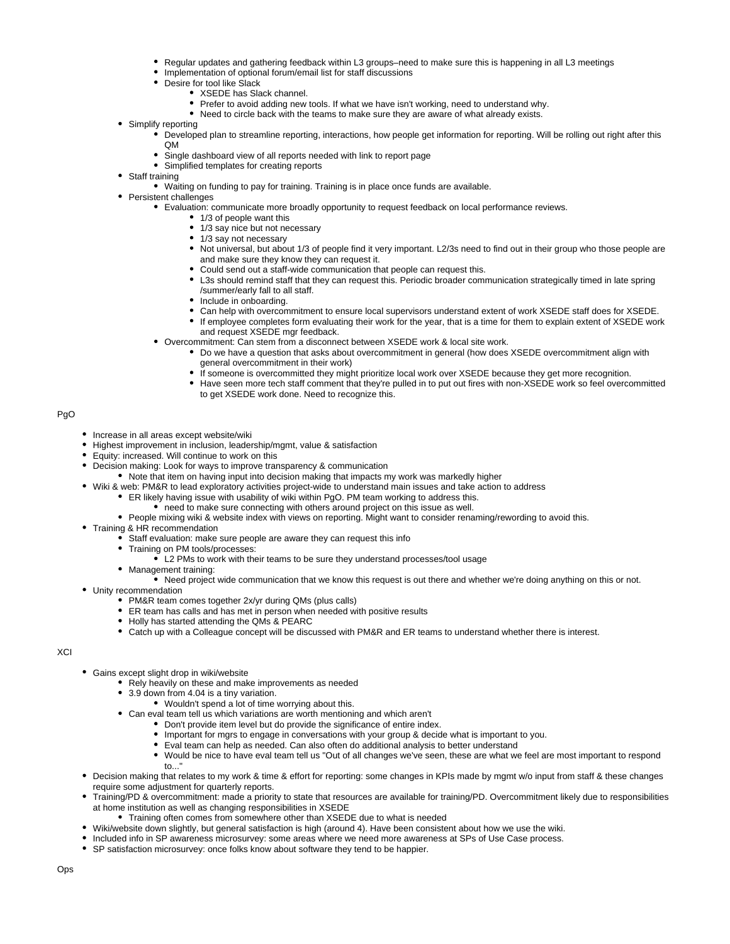- Regular updates and gathering feedback within L3 groups–need to make sure this is happening in all L3 meetings
- Implementation of optional forum/email list for staff discussions
- Desire for tool like Slack
	- XSEDE has Slack channel.
	- Prefer to avoid adding new tools. If what we have isn't working, need to understand why.
	- Need to circle back with the teams to make sure they are aware of what already exists.  $\bullet$
- Simplify reporting
	- Developed plan to streamline reporting, interactions, how people get information for reporting. Will be rolling out right after this QM
	- Single dashboard view of all reports needed with link to report page
	- Simplified templates for creating reports
- Staff training
	- Waiting on funding to pay for training. Training is in place once funds are available.
- Persistent challenges
	- Evaluation: communicate more broadly opportunity to request feedback on local performance reviews.
		- <sup>1</sup>/3 of people want this
		- 1/3 say nice but not necessary
		- 1/3 say not necessary
		- Not universal, but about 1/3 of people find it very important. L2/3s need to find out in their group who those people are and make sure they know they can request it.
		- Could send out a staff-wide communication that people can request this.
		- L3s should remind staff that they can request this. Periodic broader communication strategically timed in late spring /summer/early fall to all staff.
		- Include in onboarding.
		- Can help with overcommitment to ensure local supervisors understand extent of work XSEDE staff does for XSEDE.
		- If employee completes form evaluating their work for the year, that is a time for them to explain extent of XSEDE work and request XSEDE mgr feedback.
	- Overcommitment: Can stem from a disconnect between XSEDE work & local site work.
		- Do we have a question that asks about overcommitment in general (how does XSEDE overcommitment align with general overcommitment in their work)
		- If someone is overcommitted they might prioritize local work over XSEDE because they get more recognition.
		- Have seen more tech staff comment that they're pulled in to put out fires with non-XSEDE work so feel overcommitted to get XSEDE work done. Need to recognize this.

PgO

- Increase in all areas except website/wiki
- Highest improvement in inclusion, leadership/mgmt, value & satisfaction
- Equity: increased. Will continue to work on this
- Decision making: Look for ways to improve transparency & communication
	- Note that item on having input into decision making that impacts my work was markedly higher
- Wiki & web: PM&R to lead exploratory activities project-wide to understand main issues and take action to address
	- ER likely having issue with usability of wiki within PgO. PM team working to address this.
	- need to make sure connecting with others around project on this issue as well.
	- People mixing wiki & website index with views on reporting. Might want to consider renaming/rewording to avoid this.
- Training & HR recommendation
	- $\bullet$  Staff evaluation: make sure people are aware they can request this info
	- Training on PM tools/processes:
		- L2 PMs to work with their teams to be sure they understand processes/tool usage
	- Management training:
		- Need project wide communication that we know this request is out there and whether we're doing anything on this or not.
- Unity recommendation
	- PM&R team comes together 2x/yr during QMs (plus calls)
	- ER team has calls and has met in person when needed with positive results
	- Holly has started attending the QMs & PEARC
	- Catch up with a Colleague concept will be discussed with PM&R and ER teams to understand whether there is interest.

### XCI

- Gains except slight drop in wiki/website
	- Rely heavily on these and make improvements as needed
	- 3.9 down from 4.04 is a tiny variation.
		- Wouldn't spend a lot of time worrying about this.
	- Can eval team tell us which variations are worth mentioning and which aren't
		- Don't provide item level but do provide the significance of entire index.
			- Important for mgrs to engage in conversations with your group & decide what is important to you.
			- Eval team can help as needed. Can also often do additional analysis to better understand
	- $\bullet$ Would be nice to have eval team tell us "Out of all changes we've seen, these are what we feel are most important to respond to..."
- Decision making that relates to my work & time & effort for reporting: some changes in KPIs made by mgmt w/o input from staff & these changes require some adjustment for quarterly reports.
- Training/PD & overcommitment: made a priority to state that resources are available for training/PD. Overcommitment likely due to responsibilities at home institution as well as changing responsibilities in XSEDE
- Training often comes from somewhere other than XSEDE due to what is needed
- Wiki/website down slightly, but general satisfaction is high (around 4). Have been consistent about how we use the wiki.
- Included info in SP awareness microsurvey: some areas where we need more awareness at SPs of Use Case process.
- SP satisfaction microsurvey: once folks know about software they tend to be happier.